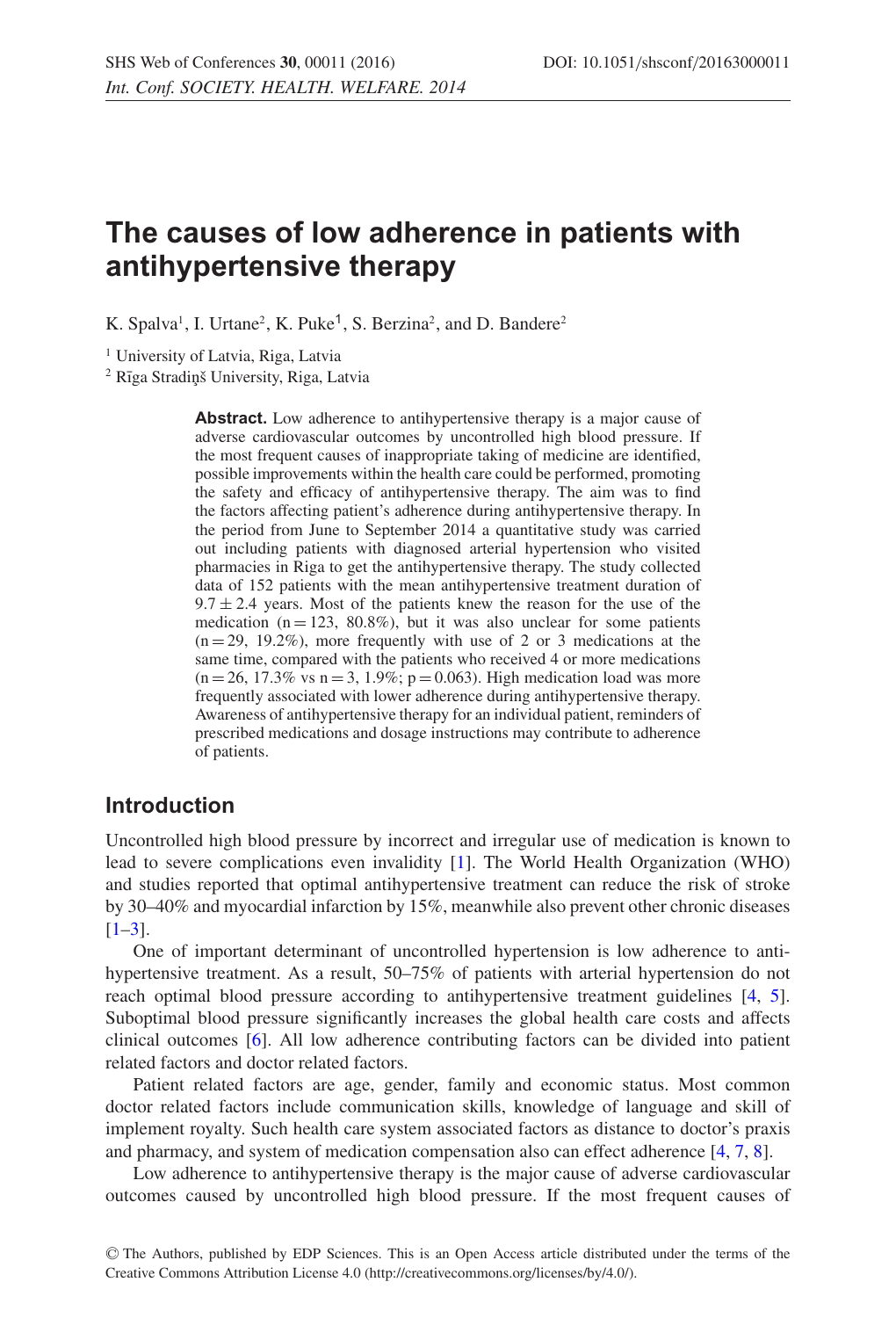# **The causes of low adherence in patients with antihypertensive therapy**

K. Spalva<sup>1</sup>, I. Urtane<sup>2</sup>, K. Puke<sup>1</sup>, S. Berzina<sup>2</sup>, and D. Bandere<sup>2</sup>

<sup>1</sup> University of Latvia, Riga, Latvia

<sup>2</sup> Rīga Stradinš University, Riga, Latvia

**Abstract.** Low adherence to antihypertensive therapy is a major cause of adverse cardiovascular outcomes by uncontrolled high blood pressure. If the most frequent causes of inappropriate taking of medicine are identified, possible improvements within the health care could be performed, promoting the safety and efficacy of antihypertensive therapy. The aim was to find the factors affecting patient's adherence during antihypertensive therapy. In the period from June to September 2014 a quantitative study was carried out including patients with diagnosed arterial hypertension who visited pharmacies in Riga to get the antihypertensive therapy. The study collected data of 152 patients with the mean antihypertensive treatment duration of  $9.7 \pm 2.4$  years. Most of the patients knew the reason for the use of the medication ( $n = 123$ , 80.8%), but it was also unclear for some patients  $(n = 29, 19.2\%)$ , more frequently with use of 2 or 3 medications at the same time, compared with the patients who received 4 or more medications  $(n = 26, 17.3\% \text{ vs } n = 3, 1.9\%; p = 0.063)$ . High medication load was more frequently associated with lower adherence during antihypertensive therapy. Awareness of antihypertensive therapy for an individual patient, reminders of prescribed medications and dosage instructions may contribute to adherence of patients.

### **Introduction**

Uncontrolled high blood pressure by incorrect and irregular use of medication is known to lead to severe complications even invalidity [\[1](#page-3-0)]. The World Health Organization (WHO) and studies reported that optimal antihypertensive treatment can reduce the risk of stroke by 30–40% and myocardial infarction by 15%, meanwhile also prevent other chronic diseases  $[1-3]$  $[1-3]$ .

One of important determinant of uncontrolled hypertension is low adherence to antihypertensive treatment. As a result, 50–75% of patients with arterial hypertension do not reach optimal blood pressure according to antihypertensive treatment guidelines [\[4](#page-3-2), [5](#page-3-3)]. Suboptimal blood pressure significantly increases the global health care costs and affects clinical outcomes [\[6\]](#page-4-0). All low adherence contributing factors can be divided into patient related factors and doctor related factors.

Patient related factors are age, gender, family and economic status. Most common doctor related factors include communication skills, knowledge of language and skill of implement royalty. Such health care system associated factors as distance to doctor's praxis and pharmacy, and system of medication compensation also can effect adherence [\[4](#page-3-2), [7](#page-4-1), [8](#page-4-2)].

Low adherence to antihypertensive therapy is the major cause of adverse cardiovascular outcomes caused by uncontrolled high blood pressure. If the most frequent causes of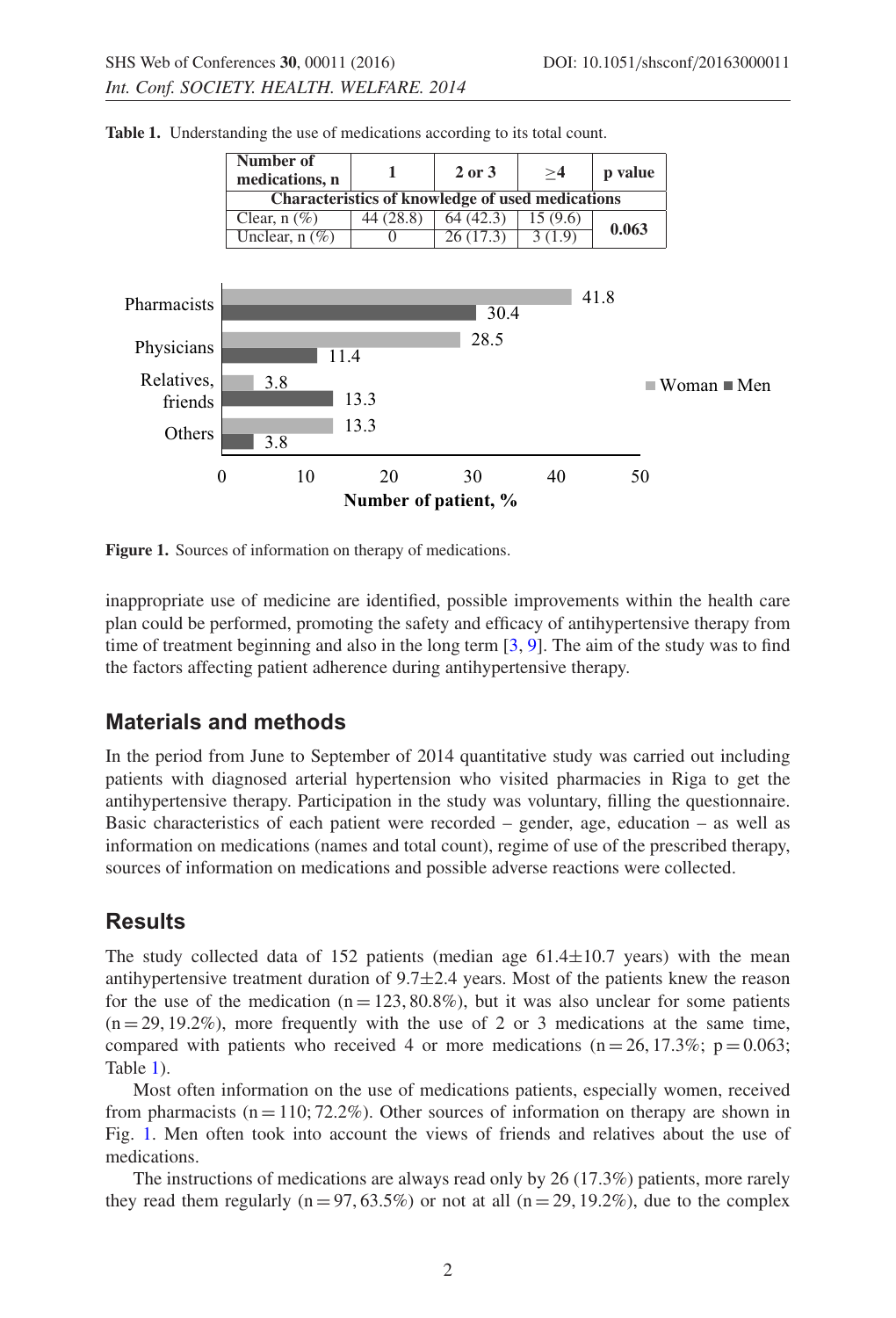<span id="page-1-1"></span><span id="page-1-0"></span>

**Table 1.** Understanding the use of medications according to its total count.

Figure 1. Sources of information on therapy of medications.

inappropriate use of medicine are identified, possible improvements within the health care plan could be performed, promoting the safety and efficacy of antihypertensive therapy from time of treatment beginning and also in the long term  $[3, 9]$  $[3, 9]$  $[3, 9]$ . The aim of the study was to find the factors affecting patient adherence during antihypertensive therapy.

### **Materials and methods**

In the period from June to September of 2014 quantitative study was carried out including patients with diagnosed arterial hypertension who visited pharmacies in Riga to get the antihypertensive therapy. Participation in the study was voluntary, filling the questionnaire. Basic characteristics of each patient were recorded – gender, age, education – as well as information on medications (names and total count), regime of use of the prescribed therapy, sources of information on medications and possible adverse reactions were collected.

## **Results**

The study collected data of  $152$  patients (median age  $61.4 \pm 10.7$  years) with the mean antihypertensive treatment duration of  $9.7 \pm 2.4$  years. Most of the patients knew the reason for the use of the medication ( $n = 123, 80.8\%$ ), but it was also unclear for some patients  $(n = 29, 19.2\%)$ , more frequently with the use of 2 or 3 medications at the same time, compared with patients who received 4 or more medications ( $n = 26, 17.3\%$ ;  $p = 0.063$ ; Table [1\)](#page-1-0).

Most often information on the use of medications patients, especially women, received from pharmacists ( $n = 110$ ; 72.2%). Other sources of information on therapy are shown in Fig. [1.](#page-1-1) Men often took into account the views of friends and relatives about the use of medications.

The instructions of medications are always read only by 26 (17.3%) patients, more rarely they read them regularly ( $n = 97, 63.5\%$ ) or not at all ( $n = 29, 19.2\%$ ), due to the complex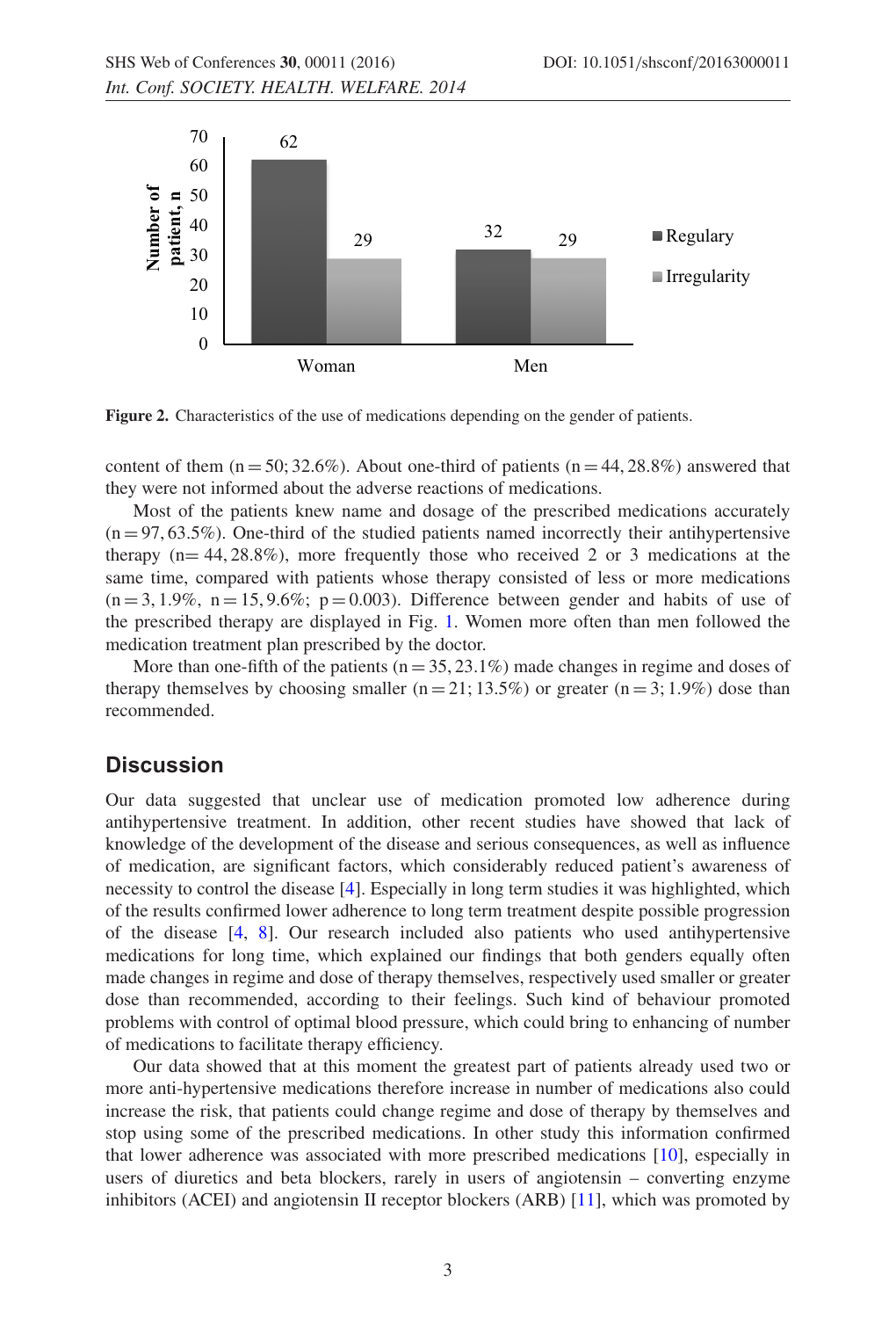

**Figure 2.** Characteristics of the use of medications depending on the gender of patients.

content of them  $(n = 50; 32.6\%)$ . About one-third of patients  $(n = 44, 28.8\%)$  answered that they were not informed about the adverse reactions of medications.

Most of the patients knew name and dosage of the prescribed medications accurately  $(n = 97, 63.5\%)$ . One-third of the studied patients named incorrectly their antihypertensive therapy  $(n= 44, 28.8\%)$ , more frequently those who received 2 or 3 medications at the same time, compared with patients whose therapy consisted of less or more medications  $(n=3, 1.9\%$ ,  $n=15, 9.6\%$ ;  $p=0.003$ ). Difference between gender and habits of use of the prescribed therapy are displayed in Fig. [1.](#page-1-1) Women more often than men followed the medication treatment plan prescribed by the doctor.

More than one-fifth of the patients ( $n = 35, 23.1\%$ ) made changes in regime and doses of therapy themselves by choosing smaller (n = 21; 13.5%) or greater (n = 3; 1.9%) dose than recommended.

#### **Discussion**

Our data suggested that unclear use of medication promoted low adherence during antihypertensive treatment. In addition, other recent studies have showed that lack of knowledge of the development of the disease and serious consequences, as well as influence of medication, are significant factors, which considerably reduced patient's awareness of necessity to control the disease [\[4\]](#page-3-2). Especially in long term studies it was highlighted, which of the results confirmed lower adherence to long term treatment despite possible progression of the disease [\[4](#page-3-2), [8](#page-4-2)]. Our research included also patients who used antihypertensive medications for long time, which explained our findings that both genders equally often made changes in regime and dose of therapy themselves, respectively used smaller or greater dose than recommended, according to their feelings. Such kind of behaviour promoted problems with control of optimal blood pressure, which could bring to enhancing of number of medications to facilitate therapy efficiency.

Our data showed that at this moment the greatest part of patients already used two or more anti-hypertensive medications therefore increase in number of medications also could increase the risk, that patients could change regime and dose of therapy by themselves and stop using some of the prescribed medications. In other study this information confirmed that lower adherence was associated with more prescribed medications [\[10\]](#page-4-4), especially in users of diuretics and beta blockers, rarely in users of angiotensin – converting enzyme inhibitors (ACEI) and angiotensin II receptor blockers (ARB) [\[11](#page-4-5)], which was promoted by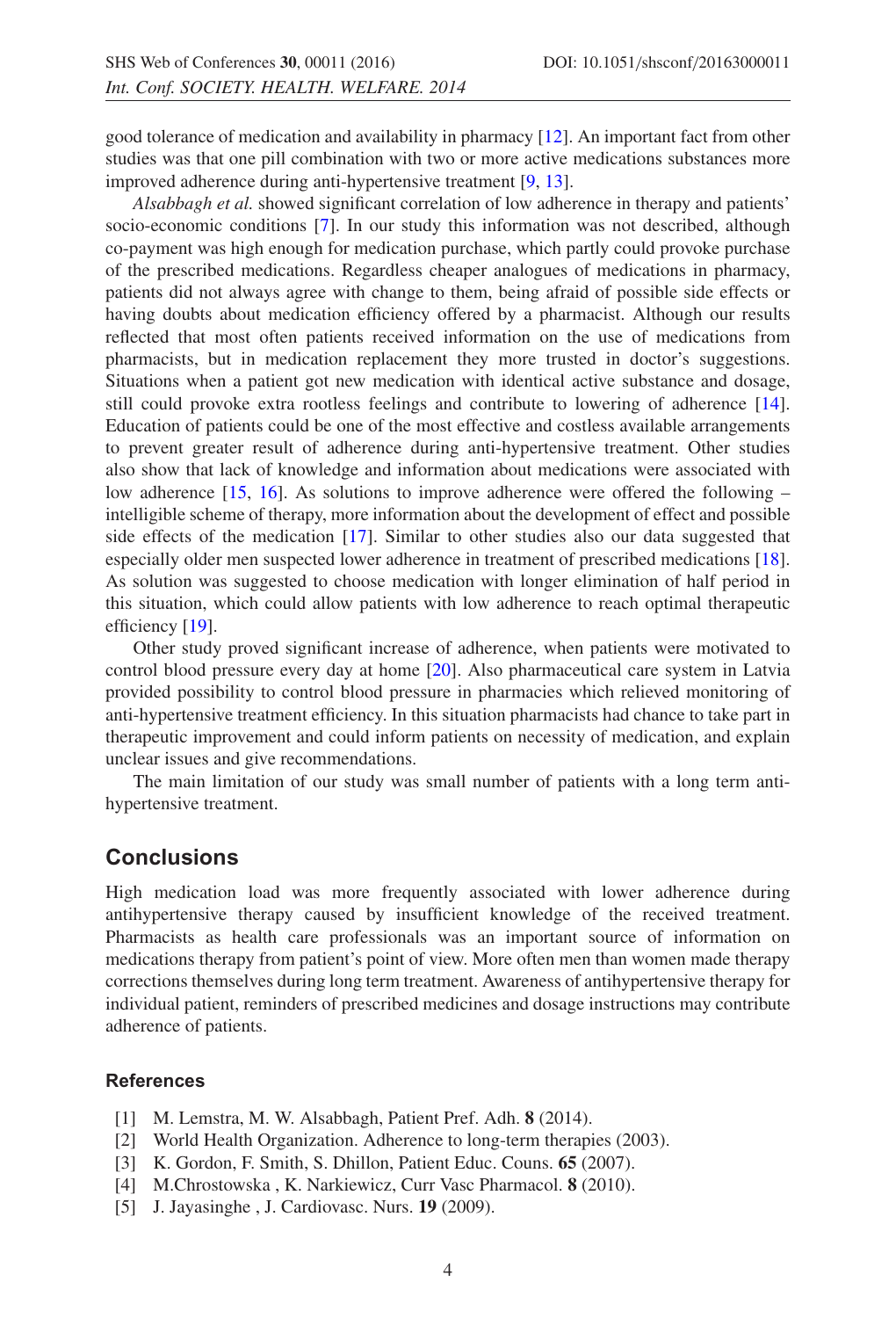good tolerance of medication and availability in pharmacy [\[12\]](#page-4-6). An important fact from other studies was that one pill combination with two or more active medications substances more improved adherence during anti-hypertensive treatment [\[9](#page-4-3), [13](#page-4-7)].

*Alsabbagh et al.* showed significant correlation of low adherence in therapy and patients' socio-economic conditions [\[7](#page-4-1)]. In our study this information was not described, although co-payment was high enough for medication purchase, which partly could provoke purchase of the prescribed medications. Regardless cheaper analogues of medications in pharmacy, patients did not always agree with change to them, being afraid of possible side effects or having doubts about medication efficiency offered by a pharmacist. Although our results reflected that most often patients received information on the use of medications from pharmacists, but in medication replacement they more trusted in doctor's suggestions. Situations when a patient got new medication with identical active substance and dosage, still could provoke extra rootless feelings and contribute to lowering of adherence [\[14](#page-4-8)]. Education of patients could be one of the most effective and costless available arrangements to prevent greater result of adherence during anti-hypertensive treatment. Other studies also show that lack of knowledge and information about medications were associated with low adherence [\[15,](#page-4-9) [16](#page-4-10)]. As solutions to improve adherence were offered the following – intelligible scheme of therapy, more information about the development of effect and possible side effects of the medication [\[17](#page-4-11)]. Similar to other studies also our data suggested that especially older men suspected lower adherence in treatment of prescribed medications [\[18](#page-4-12)]. As solution was suggested to choose medication with longer elimination of half period in this situation, which could allow patients with low adherence to reach optimal therapeutic efficiency [\[19](#page-4-13)].

Other study proved significant increase of adherence, when patients were motivated to control blood pressure every day at home [\[20\]](#page-4-14). Also pharmaceutical care system in Latvia provided possibility to control blood pressure in pharmacies which relieved monitoring of anti-hypertensive treatment efficiency. In this situation pharmacists had chance to take part in therapeutic improvement and could inform patients on necessity of medication, and explain unclear issues and give recommendations.

The main limitation of our study was small number of patients with a long term antihypertensive treatment.

### **Conclusions**

High medication load was more frequently associated with lower adherence during antihypertensive therapy caused by insufficient knowledge of the received treatment. Pharmacists as health care professionals was an important source of information on medications therapy from patient's point of view. More often men than women made therapy corrections themselves during long term treatment. Awareness of antihypertensive therapy for individual patient, reminders of prescribed medicines and dosage instructions may contribute adherence of patients.

#### <span id="page-3-0"></span>**References**

- [1] M. Lemstra, M. W. Alsabbagh, Patient Pref. Adh. **8** (2014).
- [2] World Health Organization. Adherence to long-term therapies (2003).
- <span id="page-3-1"></span>[3] K. Gordon, F. Smith, S. Dhillon, Patient Educ. Couns. **65** (2007).
- <span id="page-3-2"></span>[4] M.Chrostowska , K. Narkiewicz, Curr Vasc Pharmacol. **8** (2010).
- <span id="page-3-3"></span>[5] J. Jayasinghe , J. Cardiovasc. Nurs. **19** (2009).